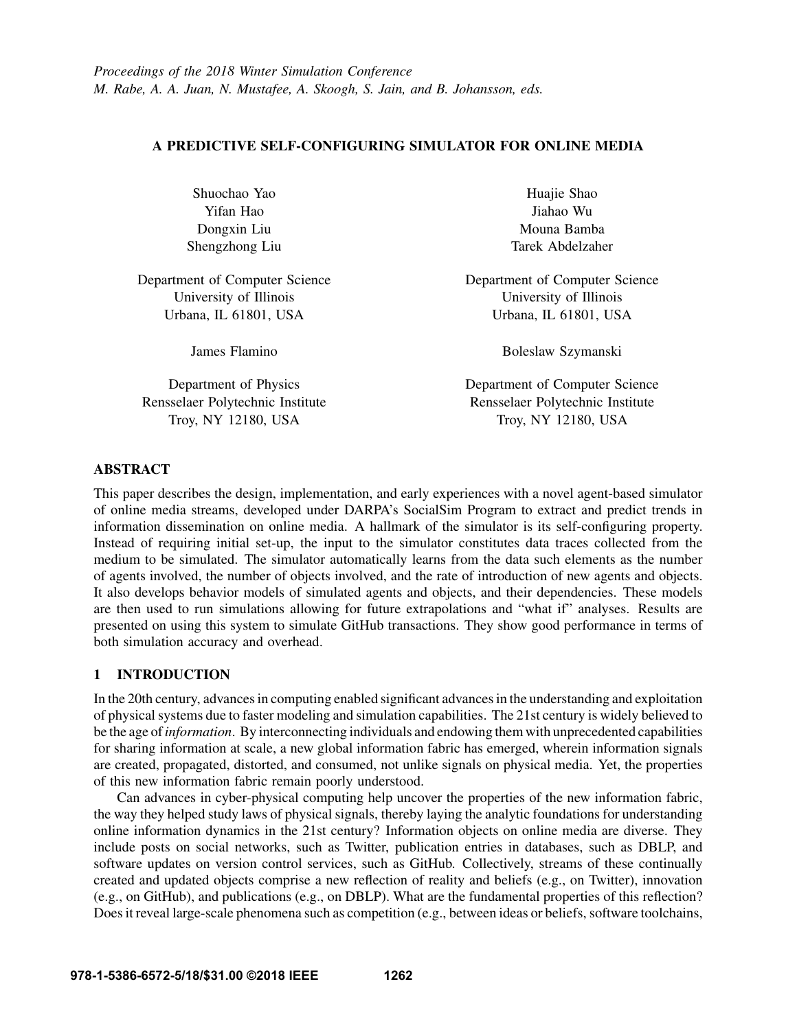## A PREDICTIVE SELF-CONFIGURING SIMULATOR FOR ONLINE MEDIA

| Shuochao Yao                     | Huajie Shao                      |  |
|----------------------------------|----------------------------------|--|
| Yifan Hao                        | Jiahao Wu                        |  |
| Dongxin Liu                      | Mouna Bamba                      |  |
| Shengzhong Liu                   | Tarek Abdelzaher                 |  |
| Department of Computer Science   | Department of Computer Science   |  |
| University of Illinois           | University of Illinois           |  |
| Urbana, IL 61801, USA            | Urbana, IL 61801, USA            |  |
| James Flamino                    | Boleslaw Szymanski               |  |
| Department of Physics            | Department of Computer Science   |  |
| Rensselaer Polytechnic Institute | Rensselaer Polytechnic Institute |  |
| Troy, NY 12180, USA              | Troy, NY 12180, USA              |  |

# ABSTRACT

This paper describes the design, implementation, and early experiences with a novel agent-based simulator of online media streams, developed under DARPA's SocialSim Program to extract and predict trends in information dissemination on online media. A hallmark of the simulator is its self-configuring property. Instead of requiring initial set-up, the input to the simulator constitutes data traces collected from the medium to be simulated. The simulator automatically learns from the data such elements as the number of agents involved, the number of objects involved, and the rate of introduction of new agents and objects. It also develops behavior models of simulated agents and objects, and their dependencies. These models are then used to run simulations allowing for future extrapolations and "what if" analyses. Results are presented on using this system to simulate GitHub transactions. They show good performance in terms of both simulation accuracy and overhead.

# 1 INTRODUCTION

In the 20th century, advances in computing enabled significant advances in the understanding and exploitation of physical systems due to faster modeling and simulation capabilities. The 21st century is widely believed to be the age of*information*. By interconnecting individuals and endowing them with unprecedented capabilities for sharing information at scale, a new global information fabric has emerged, wherein information signals are created, propagated, distorted, and consumed, not unlike signals on physical media. Yet, the properties of this new information fabric remain poorly understood.

Can advances in cyber-physical computing help uncover the properties of the new information fabric, the way they helped study laws of physical signals, thereby laying the analytic foundations for understanding online information dynamics in the 21st century? Information objects on online media are diverse. They include posts on social networks, such as Twitter, publication entries in databases, such as DBLP, and software updates on version control services, such as GitHub. Collectively, streams of these continually created and updated objects comprise a new reflection of reality and beliefs (e.g., on Twitter), innovation (e.g., on GitHub), and publications (e.g., on DBLP). What are the fundamental properties of this reflection? Does it reveal large-scale phenomena such as competition (e.g., between ideas or beliefs, software toolchains,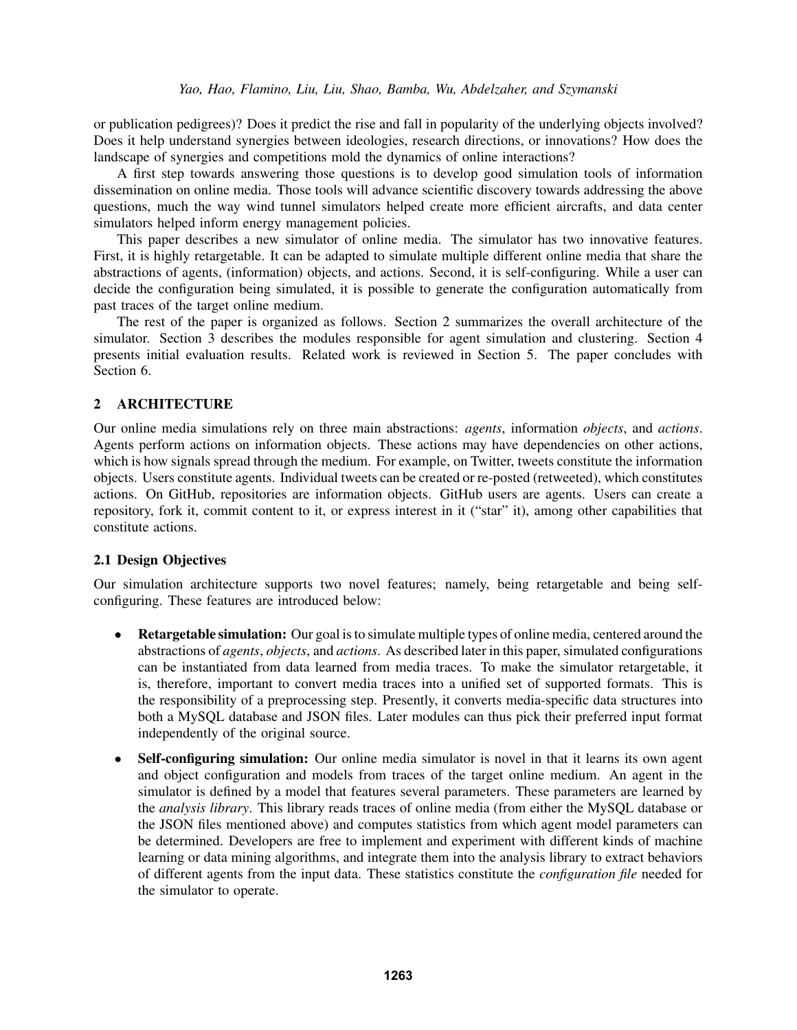or publication pedigrees)? Does it predict the rise and fall in popularity of the underlying objects involved? Does it help understand synergies between ideologies, research directions, or innovations? How does the landscape of synergies and competitions mold the dynamics of online interactions?

A first step towards answering those questions is to develop good simulation tools of information dissemination on online media. Those tools will advance scientific discovery towards addressing the above questions, much the way wind tunnel simulators helped create more efficient aircrafts, and data center simulators helped inform energy management policies.

This paper describes a new simulator of online media. The simulator has two innovative features. First, it is highly retargetable. It can be adapted to simulate multiple different online media that share the abstractions of agents, (information) objects, and actions. Second, it is self-configuring. While a user can decide the configuration being simulated, it is possible to generate the configuration automatically from past traces of the target online medium.

The rest of the paper is organized as follows. Section 2 summarizes the overall architecture of the simulator. Section 3 describes the modules responsible for agent simulation and clustering. Section 4 presents initial evaluation results. Related work is reviewed in Section 5. The paper concludes with Section 6.

# 2 ARCHITECTURE

Our online media simulations rely on three main abstractions: *agents*, information *objects*, and *actions*. Agents perform actions on information objects. These actions may have dependencies on other actions, which is how signals spread through the medium. For example, on Twitter, tweets constitute the information objects. Users constitute agents. Individual tweets can be created or re-posted (retweeted), which constitutes actions. On GitHub, repositories are information objects. GitHub users are agents. Users can create a repository, fork it, commit content to it, or express interest in it ("star" it), among other capabilities that constitute actions.

## 2.1 Design Objectives

Our simulation architecture supports two novel features; namely, being retargetable and being selfconfiguring. These features are introduced below:

- Retargetable simulation: Our goal is to simulate multiple types of online media, centered around the abstractions of *agents*, *objects*, and *actions*. As described later in this paper, simulated configurations can be instantiated from data learned from media traces. To make the simulator retargetable, it is, therefore, important to convert media traces into a unified set of supported formats. This is the responsibility of a preprocessing step. Presently, it converts media-specific data structures into both a MySQL database and JSON files. Later modules can thus pick their preferred input format independently of the original source.
- Self-configuring simulation: Our online media simulator is novel in that it learns its own agent and object configuration and models from traces of the target online medium. An agent in the simulator is defined by a model that features several parameters. These parameters are learned by the *analysis library*. This library reads traces of online media (from either the MySQL database or the JSON files mentioned above) and computes statistics from which agent model parameters can be determined. Developers are free to implement and experiment with different kinds of machine learning or data mining algorithms, and integrate them into the analysis library to extract behaviors of different agents from the input data. These statistics constitute the *configuration file* needed for the simulator to operate.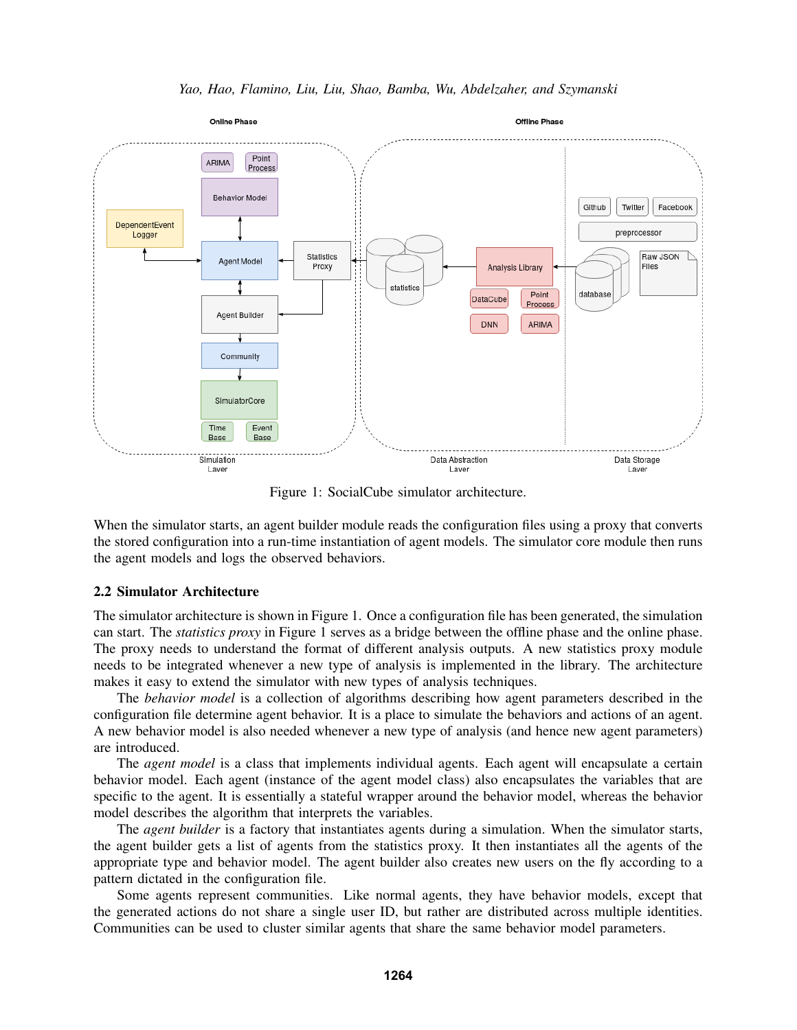



Figure 1: SocialCube simulator architecture.

When the simulator starts, an agent builder module reads the configuration files using a proxy that converts the stored configuration into a run-time instantiation of agent models. The simulator core module then runs the agent models and logs the observed behaviors.

## 2.2 Simulator Architecture

The simulator architecture is shown in Figure 1. Once a configuration file has been generated, the simulation can start. The *statistics proxy* in Figure 1 serves as a bridge between the offline phase and the online phase. The proxy needs to understand the format of different analysis outputs. A new statistics proxy module needs to be integrated whenever a new type of analysis is implemented in the library. The architecture makes it easy to extend the simulator with new types of analysis techniques.

The *behavior model* is a collection of algorithms describing how agent parameters described in the configuration file determine agent behavior. It is a place to simulate the behaviors and actions of an agent. A new behavior model is also needed whenever a new type of analysis (and hence new agent parameters) are introduced.

The *agent model* is a class that implements individual agents. Each agent will encapsulate a certain behavior model. Each agent (instance of the agent model class) also encapsulates the variables that are specific to the agent. It is essentially a stateful wrapper around the behavior model, whereas the behavior model describes the algorithm that interprets the variables.

The *agent builder* is a factory that instantiates agents during a simulation. When the simulator starts, the agent builder gets a list of agents from the statistics proxy. It then instantiates all the agents of the appropriate type and behavior model. The agent builder also creates new users on the fly according to a pattern dictated in the configuration file.

Some agents represent communities. Like normal agents, they have behavior models, except that the generated actions do not share a single user ID, but rather are distributed across multiple identities. Communities can be used to cluster similar agents that share the same behavior model parameters.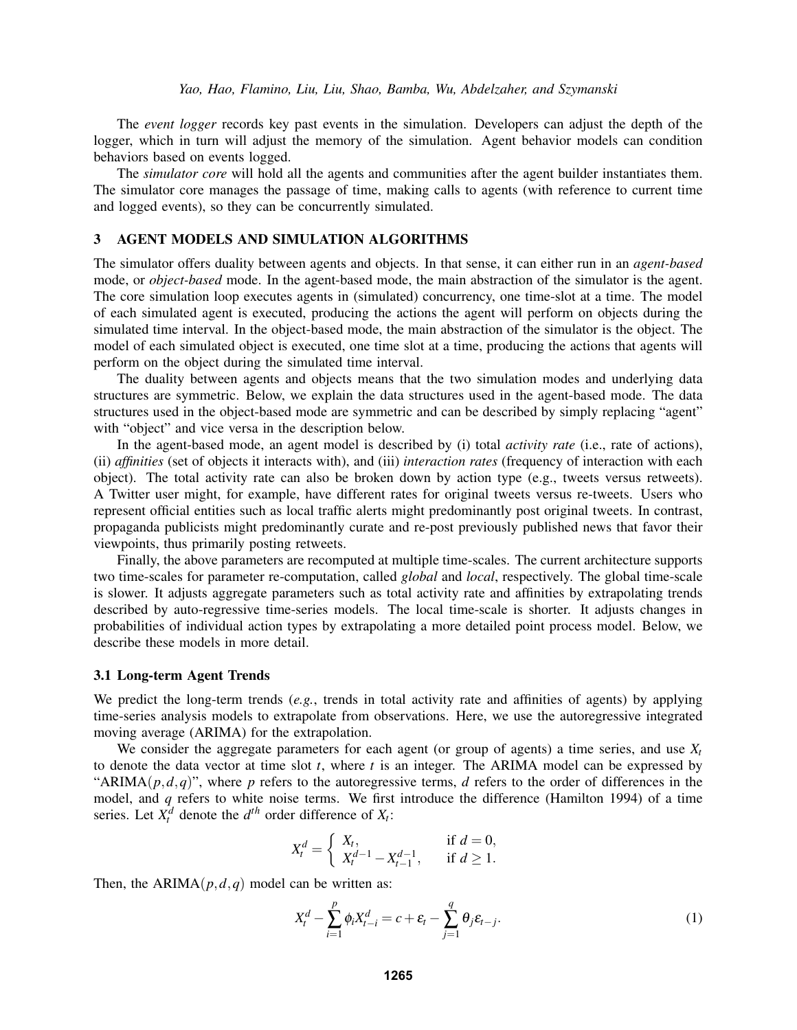The *event logger* records key past events in the simulation. Developers can adjust the depth of the logger, which in turn will adjust the memory of the simulation. Agent behavior models can condition behaviors based on events logged.

The *simulator core* will hold all the agents and communities after the agent builder instantiates them. The simulator core manages the passage of time, making calls to agents (with reference to current time and logged events), so they can be concurrently simulated.

## 3 AGENT MODELS AND SIMULATION ALGORITHMS

The simulator offers duality between agents and objects. In that sense, it can either run in an *agent-based* mode, or *object-based* mode. In the agent-based mode, the main abstraction of the simulator is the agent. The core simulation loop executes agents in (simulated) concurrency, one time-slot at a time. The model of each simulated agent is executed, producing the actions the agent will perform on objects during the simulated time interval. In the object-based mode, the main abstraction of the simulator is the object. The model of each simulated object is executed, one time slot at a time, producing the actions that agents will perform on the object during the simulated time interval.

The duality between agents and objects means that the two simulation modes and underlying data structures are symmetric. Below, we explain the data structures used in the agent-based mode. The data structures used in the object-based mode are symmetric and can be described by simply replacing "agent" with "object" and vice versa in the description below.

In the agent-based mode, an agent model is described by (i) total *activity rate* (i.e., rate of actions), (ii) *affinities* (set of objects it interacts with), and (iii) *interaction rates* (frequency of interaction with each object). The total activity rate can also be broken down by action type (e.g., tweets versus retweets). A Twitter user might, for example, have different rates for original tweets versus re-tweets. Users who represent official entities such as local traffic alerts might predominantly post original tweets. In contrast, propaganda publicists might predominantly curate and re-post previously published news that favor their viewpoints, thus primarily posting retweets.

Finally, the above parameters are recomputed at multiple time-scales. The current architecture supports two time-scales for parameter re-computation, called *global* and *local*, respectively. The global time-scale is slower. It adjusts aggregate parameters such as total activity rate and affinities by extrapolating trends described by auto-regressive time-series models. The local time-scale is shorter. It adjusts changes in probabilities of individual action types by extrapolating a more detailed point process model. Below, we describe these models in more detail.

## 3.1 Long-term Agent Trends

We predict the long-term trends (*e.g.*, trends in total activity rate and affinities of agents) by applying time-series analysis models to extrapolate from observations. Here, we use the autoregressive integrated moving average (ARIMA) for the extrapolation.

We consider the aggregate parameters for each agent (or group of agents) a time series, and use  $X_t$ to denote the data vector at time slot *t*, where *t* is an integer. The ARIMA model can be expressed by "ARIMA $(p, d, q)$ ", where *p* refers to the autoregressive terms, *d* refers to the order of differences in the model, and *q* refers to white noise terms. We first introduce the difference (Hamilton 1994) of a time series. Let  $X_t^d$  denote the  $d^{th}$  order difference of  $X_t$ :

$$
X_t^d = \begin{cases} X_t, & \text{if } d = 0, \\ X_t^{d-1} - X_{t-1}^{d-1}, & \text{if } d \ge 1. \end{cases}
$$

Then, the  $ARIMA(p,d,q)$  model can be written as:

$$
X_t^d - \sum_{i=1}^p \phi_i X_{t-i}^d = c + \varepsilon_t - \sum_{j=1}^q \theta_j \varepsilon_{t-j}.
$$
 (1)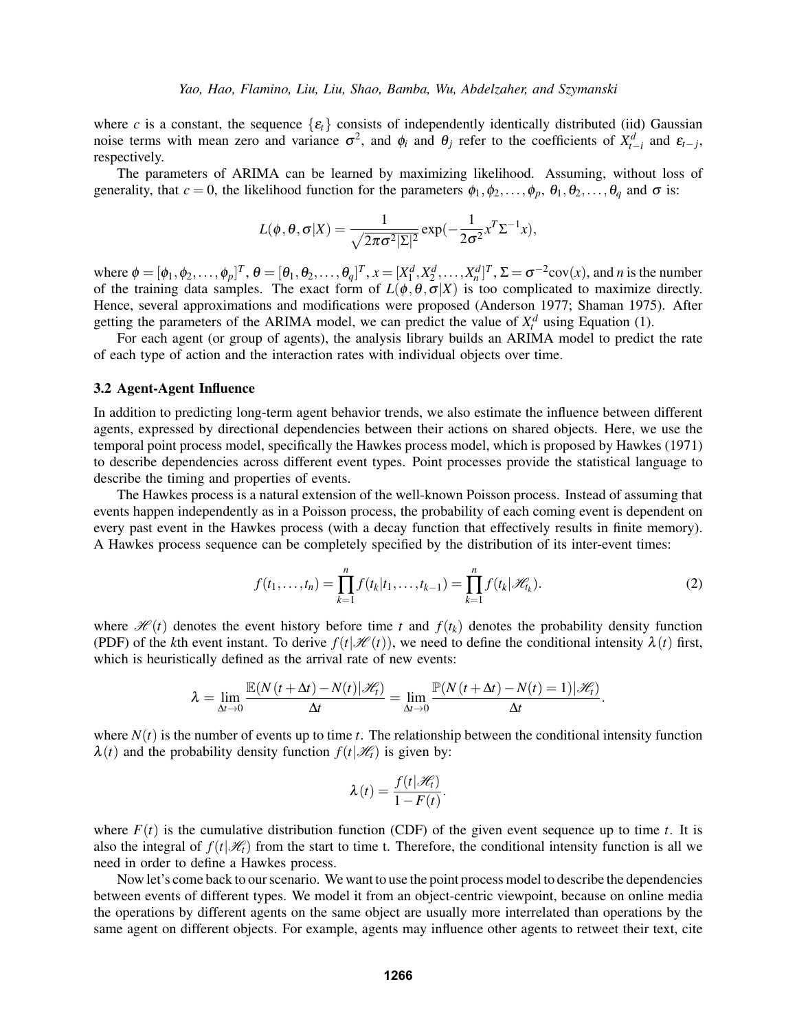where *c* is a constant, the sequence  $\{\varepsilon_t\}$  consists of independently identically distributed (iid) Gaussian noise terms with mean zero and variance  $\sigma^2$ , and  $\phi_i$  and  $\theta_j$  refer to the coefficients of  $X_{t-i}^d$  and  $\varepsilon_{t-j}$ , respectively.

The parameters of ARIMA can be learned by maximizing likelihood. Assuming, without loss of generality, that  $c = 0$ , the likelihood function for the parameters  $\phi_1, \phi_2, \dots, \phi_p, \theta_1, \theta_2, \dots, \theta_q$  and  $\sigma$  is:

$$
L(\phi, \theta, \sigma|X) = \frac{1}{\sqrt{2\pi\sigma^2|\Sigma|^2}} \exp(-\frac{1}{2\sigma^2}x^T\Sigma^{-1}x),
$$

where  $\phi = [\phi_1, \phi_2, \dots, \phi_p]^T$ ,  $\theta = [\theta_1, \theta_2, \dots, \theta_q]^T$ ,  $x = [X_1^d, X_2^d, \dots, X_n^d]^T$ ,  $\Sigma = \sigma^{-2} cov(x)$ , and *n* is the number of the training data samples. The exact form of  $L(\phi, \theta, \sigma|X)$  is too complicated to maximize directly. Hence, several approximations and modifications were proposed (Anderson 1977; Shaman 1975). After getting the parameters of the ARIMA model, we can predict the value of  $X_t^d$  using Equation (1).

For each agent (or group of agents), the analysis library builds an ARIMA model to predict the rate of each type of action and the interaction rates with individual objects over time.

## 3.2 Agent-Agent Influence

In addition to predicting long-term agent behavior trends, we also estimate the influence between different agents, expressed by directional dependencies between their actions on shared objects. Here, we use the temporal point process model, specifically the Hawkes process model, which is proposed by Hawkes (1971) to describe dependencies across different event types. Point processes provide the statistical language to describe the timing and properties of events.

The Hawkes process is a natural extension of the well-known Poisson process. Instead of assuming that events happen independently as in a Poisson process, the probability of each coming event is dependent on every past event in the Hawkes process (with a decay function that effectively results in finite memory). A Hawkes process sequence can be completely specified by the distribution of its inter-event times:

$$
f(t_1,\ldots,t_n) = \prod_{k=1}^n f(t_k|t_1,\ldots,t_{k-1}) = \prod_{k=1}^n f(t_k|\mathcal{H}_k).
$$
 (2)

where  $\mathcal{H}(t)$  denotes the event history before time *t* and  $f(t_k)$  denotes the probability density function (PDF) of the *k*th event instant. To derive  $f(t|\mathcal{H}(t))$ , we need to define the conditional intensity  $\lambda(t)$  first, which is heuristically defined as the arrival rate of new events:

$$
\lambda = \lim_{\Delta t \to 0} \frac{\mathbb{E}(N(t + \Delta t) - N(t)|\mathcal{H}_t)}{\Delta t} = \lim_{\Delta t \to 0} \frac{\mathbb{P}(N(t + \Delta t) - N(t) = 1)|\mathcal{H}_t)}{\Delta t}.
$$

where  $N(t)$  is the number of events up to time *t*. The relationship between the conditional intensity function  $\lambda(t)$  and the probability density function  $f(t|\mathcal{H}_t)$  is given by:

$$
\lambda(t) = \frac{f(t|\mathcal{H}_t)}{1 - F(t)}.
$$

where  $F(t)$  is the cumulative distribution function (CDF) of the given event sequence up to time *t*. It is also the integral of  $f(t|\mathcal{H}_t)$  from the start to time t. Therefore, the conditional intensity function is all we need in order to define a Hawkes process.

Now let's come back to our scenario. We want to use the point process model to describe the dependencies between events of different types. We model it from an object-centric viewpoint, because on online media the operations by different agents on the same object are usually more interrelated than operations by the same agent on different objects. For example, agents may influence other agents to retweet their text, cite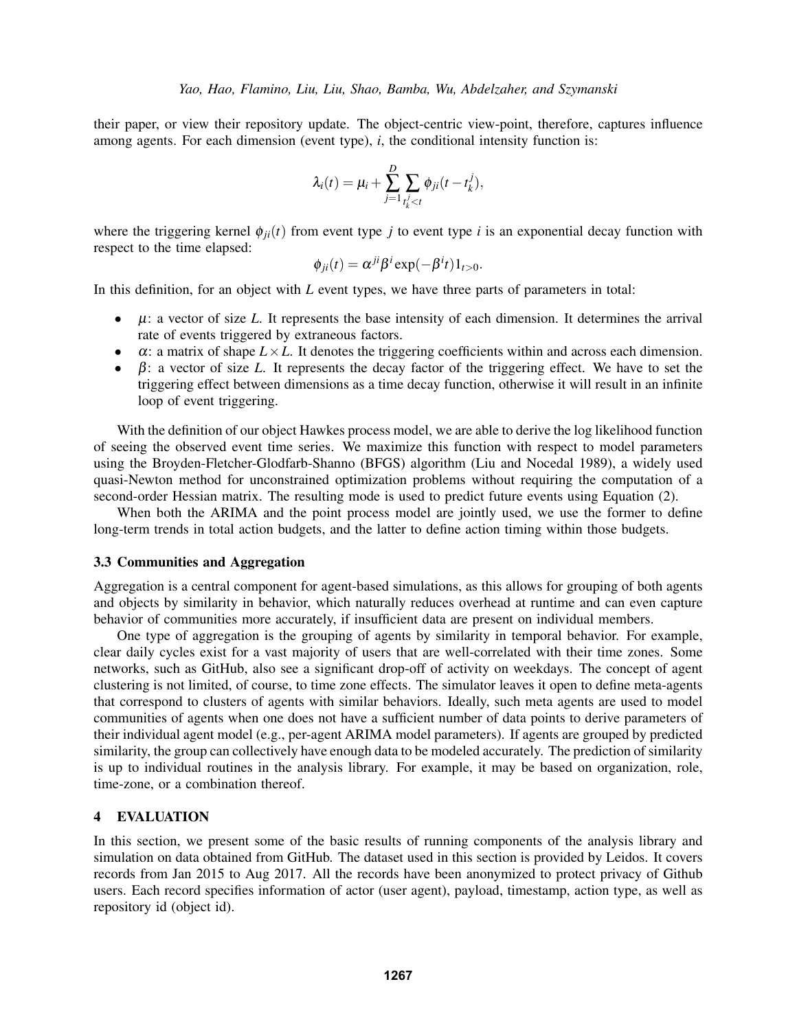their paper, or view their repository update. The object-centric view-point, therefore, captures influence among agents. For each dimension (event type), *i*, the conditional intensity function is:

$$
\lambda_i(t) = \mu_i + \sum_{j=1}^D \sum_{t_k^j < t} \phi_{ji}(t - t_k^j),
$$

where the triggering kernel  $\phi_{ii}(t)$  from event type *j* to event type *i* is an exponential decay function with respect to the time elapsed:

$$
\phi_{ji}(t) = \alpha^{ji} \beta^i \exp(-\beta^i t) 1_{t>0}.
$$

In this definition, for an object with *L* event types, we have three parts of parameters in total:

- µ: a vector of size *L*. It represents the base intensity of each dimension. It determines the arrival rate of events triggered by extraneous factors.
- $\bullet$   $\alpha$ : a matrix of shape  $L \times L$ . It denotes the triggering coefficients within and across each dimension.
- β: a vector of size *L*. It represents the decay factor of the triggering effect. We have to set the triggering effect between dimensions as a time decay function, otherwise it will result in an infinite loop of event triggering.

With the definition of our object Hawkes process model, we are able to derive the log likelihood function of seeing the observed event time series. We maximize this function with respect to model parameters using the Broyden-Fletcher-Glodfarb-Shanno (BFGS) algorithm (Liu and Nocedal 1989), a widely used quasi-Newton method for unconstrained optimization problems without requiring the computation of a second-order Hessian matrix. The resulting mode is used to predict future events using Equation (2).

When both the ARIMA and the point process model are jointly used, we use the former to define long-term trends in total action budgets, and the latter to define action timing within those budgets.

## 3.3 Communities and Aggregation

Aggregation is a central component for agent-based simulations, as this allows for grouping of both agents and objects by similarity in behavior, which naturally reduces overhead at runtime and can even capture behavior of communities more accurately, if insufficient data are present on individual members.

One type of aggregation is the grouping of agents by similarity in temporal behavior. For example, clear daily cycles exist for a vast majority of users that are well-correlated with their time zones. Some networks, such as GitHub, also see a significant drop-off of activity on weekdays. The concept of agent clustering is not limited, of course, to time zone effects. The simulator leaves it open to define meta-agents that correspond to clusters of agents with similar behaviors. Ideally, such meta agents are used to model communities of agents when one does not have a sufficient number of data points to derive parameters of their individual agent model (e.g., per-agent ARIMA model parameters). If agents are grouped by predicted similarity, the group can collectively have enough data to be modeled accurately. The prediction of similarity is up to individual routines in the analysis library. For example, it may be based on organization, role, time-zone, or a combination thereof.

# 4 EVALUATION

In this section, we present some of the basic results of running components of the analysis library and simulation on data obtained from GitHub. The dataset used in this section is provided by Leidos. It covers records from Jan 2015 to Aug 2017. All the records have been anonymized to protect privacy of Github users. Each record specifies information of actor (user agent), payload, timestamp, action type, as well as repository id (object id).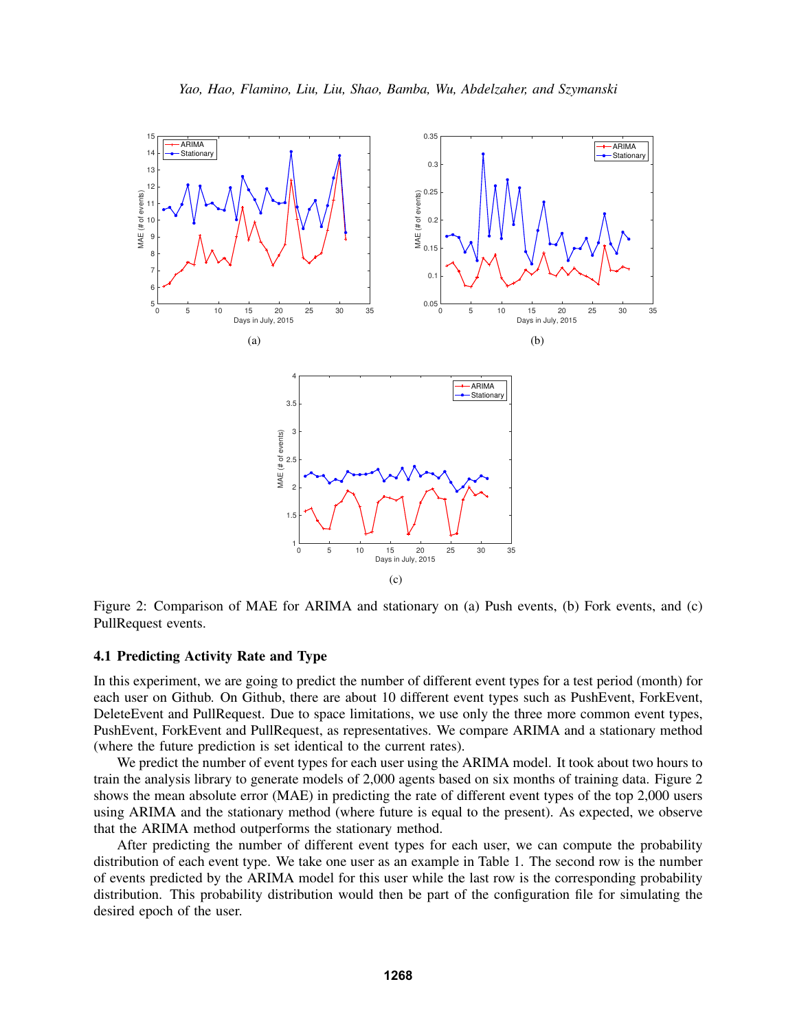

Figure 2: Comparison of MAE for ARIMA and stationary on (a) Push events, (b) Fork events, and (c) PullRequest events.

#### 4.1 Predicting Activity Rate and Type

In this experiment, we are going to predict the number of different event types for a test period (month) for each user on Github. On Github, there are about 10 different event types such as PushEvent, ForkEvent, DeleteEvent and PullRequest. Due to space limitations, we use only the three more common event types, PushEvent, ForkEvent and PullRequest, as representatives. We compare ARIMA and a stationary method (where the future prediction is set identical to the current rates).

We predict the number of event types for each user using the ARIMA model. It took about two hours to train the analysis library to generate models of 2,000 agents based on six months of training data. Figure 2 shows the mean absolute error (MAE) in predicting the rate of different event types of the top 2,000 users using ARIMA and the stationary method (where future is equal to the present). As expected, we observe that the ARIMA method outperforms the stationary method.

After predicting the number of different event types for each user, we can compute the probability distribution of each event type. We take one user as an example in Table 1. The second row is the number of events predicted by the ARIMA model for this user while the last row is the corresponding probability distribution. This probability distribution would then be part of the configuration file for simulating the desired epoch of the user.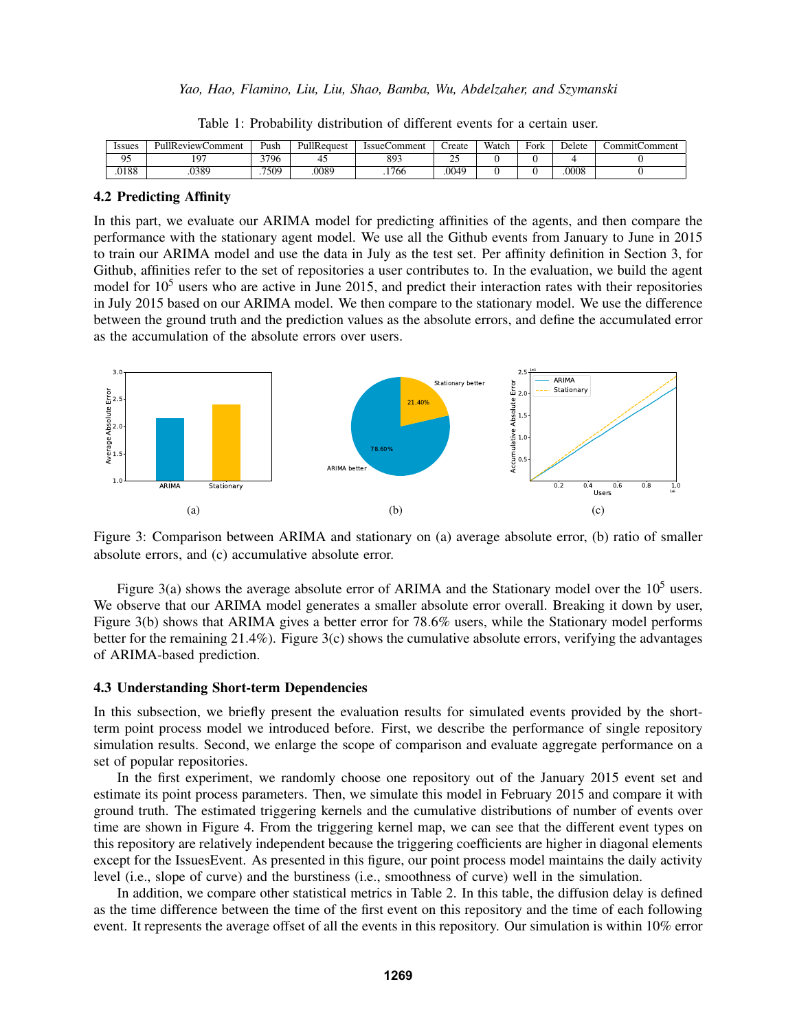| lssues | <b>PullReviewComment</b> | Push  | PullRequest | <b>IssueComment</b> | reate                 | Watch | Fork | Delete | 'ommit(<br>. :ommen |
|--------|--------------------------|-------|-------------|---------------------|-----------------------|-------|------|--------|---------------------|
| Ω5     | 197                      | 3796  | 43          | 893                 | $\sim$ $\sim$<br>ىدىك |       |      |        |                     |
| .0188  | .0389                    | .7509 | .0089       | .1766               | .0049                 |       |      | .0008  |                     |

Table 1: Probability distribution of different events for a certain user.

## 4.2 Predicting Affinity

In this part, we evaluate our ARIMA model for predicting affinities of the agents, and then compare the performance with the stationary agent model. We use all the Github events from January to June in 2015 to train our ARIMA model and use the data in July as the test set. Per affinity definition in Section 3, for Github, affinities refer to the set of repositories a user contributes to. In the evaluation, we build the agent model for  $10<sup>5</sup>$  users who are active in June 2015, and predict their interaction rates with their repositories in July 2015 based on our ARIMA model. We then compare to the stationary model. We use the difference between the ground truth and the prediction values as the absolute errors, and define the accumulated error as the accumulation of the absolute errors over users.



Figure 3: Comparison between ARIMA and stationary on (a) average absolute error, (b) ratio of smaller absolute errors, and (c) accumulative absolute error.

Figure 3(a) shows the average absolute error of ARIMA and the Stationary model over the  $10^5$  users. We observe that our ARIMA model generates a smaller absolute error overall. Breaking it down by user, Figure 3(b) shows that ARIMA gives a better error for 78.6% users, while the Stationary model performs better for the remaining  $21.4\%$ ). Figure 3(c) shows the cumulative absolute errors, verifying the advantages of ARIMA-based prediction.

## 4.3 Understanding Short-term Dependencies

In this subsection, we briefly present the evaluation results for simulated events provided by the shortterm point process model we introduced before. First, we describe the performance of single repository simulation results. Second, we enlarge the scope of comparison and evaluate aggregate performance on a set of popular repositories.

In the first experiment, we randomly choose one repository out of the January 2015 event set and estimate its point process parameters. Then, we simulate this model in February 2015 and compare it with ground truth. The estimated triggering kernels and the cumulative distributions of number of events over time are shown in Figure 4. From the triggering kernel map, we can see that the different event types on this repository are relatively independent because the triggering coefficients are higher in diagonal elements except for the IssuesEvent. As presented in this figure, our point process model maintains the daily activity level (i.e., slope of curve) and the burstiness (i.e., smoothness of curve) well in the simulation.

In addition, we compare other statistical metrics in Table 2. In this table, the diffusion delay is defined as the time difference between the time of the first event on this repository and the time of each following event. It represents the average offset of all the events in this repository. Our simulation is within 10% error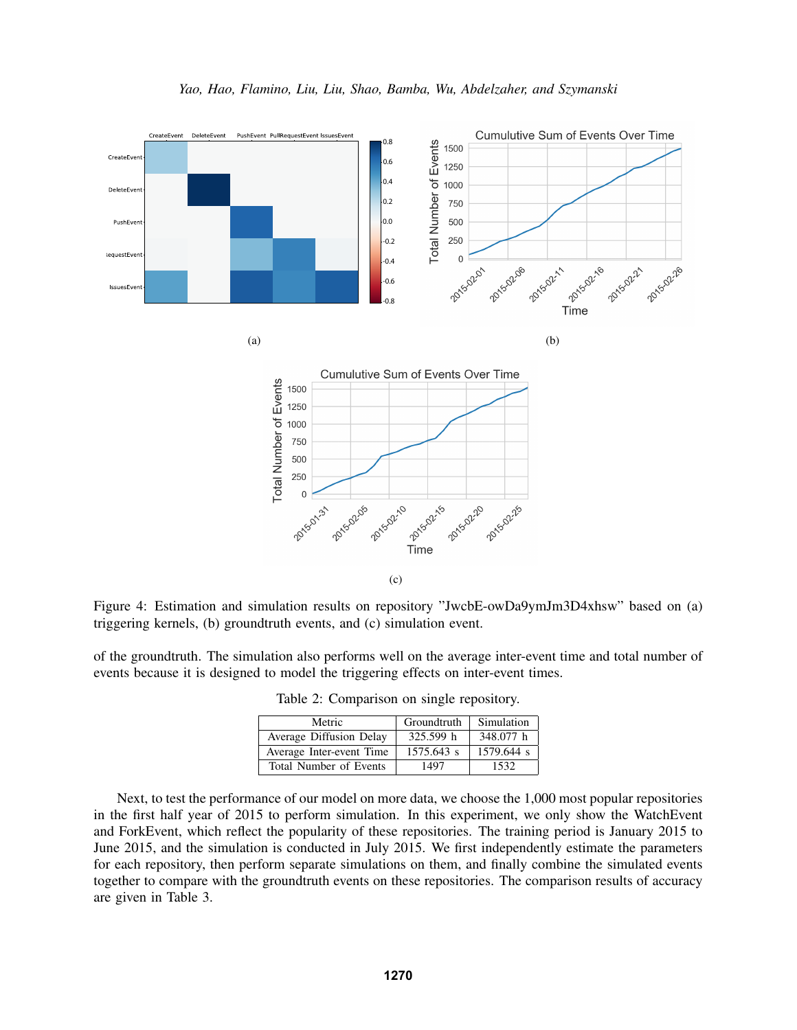

(c)

Figure 4: Estimation and simulation results on repository "JwcbE-owDa9ymJm3D4xhsw" based on (a) triggering kernels, (b) groundtruth events, and (c) simulation event.

of the groundtruth. The simulation also performs well on the average inter-event time and total number of events because it is designed to model the triggering effects on inter-event times.

| Metric                   | Groundtruth | Simulation |
|--------------------------|-------------|------------|
| Average Diffusion Delay  | 325.599 h   | 348.077 h  |
| Average Inter-event Time | 1575.643 s  | 1579.644 s |
| Total Number of Events   | 1497        | 1532.      |

Table 2: Comparison on single repository.

Next, to test the performance of our model on more data, we choose the 1,000 most popular repositories in the first half year of 2015 to perform simulation. In this experiment, we only show the WatchEvent and ForkEvent, which reflect the popularity of these repositories. The training period is January 2015 to June 2015, and the simulation is conducted in July 2015. We first independently estimate the parameters for each repository, then perform separate simulations on them, and finally combine the simulated events together to compare with the groundtruth events on these repositories. The comparison results of accuracy are given in Table 3.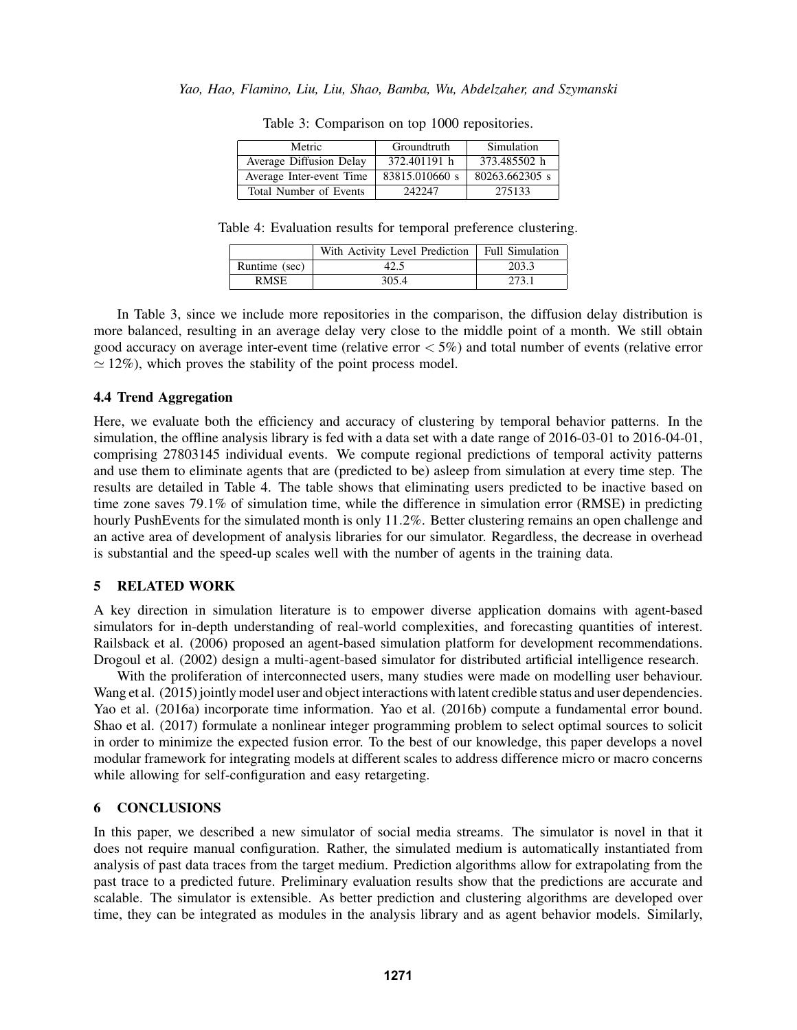| Metric                   | Groundtruth    | Simulation     |
|--------------------------|----------------|----------------|
| Average Diffusion Delay  | 372.401191 h   | 373.485502 h   |
| Average Inter-event Time | 83815.010660 s | 80263.662305 s |
| Total Number of Events   | 242247         | 275133         |

Table 3: Comparison on top 1000 repositories.

Table 4: Evaluation results for temporal preference clustering.

|               | With Activity Level Prediction | <b>Full Simulation</b> |
|---------------|--------------------------------|------------------------|
| Runtime (sec) | 42.5                           | 203.3                  |
| <b>RMSE</b>   | 305.4                          | 273.1                  |

In Table 3, since we include more repositories in the comparison, the diffusion delay distribution is more balanced, resulting in an average delay very close to the middle point of a month. We still obtain good accuracy on average inter-event time (relative error  $< 5\%$ ) and total number of events (relative error  $\simeq$  12%), which proves the stability of the point process model.

## 4.4 Trend Aggregation

Here, we evaluate both the efficiency and accuracy of clustering by temporal behavior patterns. In the simulation, the offline analysis library is fed with a data set with a date range of 2016-03-01 to 2016-04-01, comprising 27803145 individual events. We compute regional predictions of temporal activity patterns and use them to eliminate agents that are (predicted to be) asleep from simulation at every time step. The results are detailed in Table 4. The table shows that eliminating users predicted to be inactive based on time zone saves 79.1% of simulation time, while the difference in simulation error (RMSE) in predicting hourly PushEvents for the simulated month is only 11.2%. Better clustering remains an open challenge and an active area of development of analysis libraries for our simulator. Regardless, the decrease in overhead is substantial and the speed-up scales well with the number of agents in the training data.

## 5 RELATED WORK

A key direction in simulation literature is to empower diverse application domains with agent-based simulators for in-depth understanding of real-world complexities, and forecasting quantities of interest. Railsback et al. (2006) proposed an agent-based simulation platform for development recommendations. Drogoul et al. (2002) design a multi-agent-based simulator for distributed artificial intelligence research.

With the proliferation of interconnected users, many studies were made on modelling user behaviour. Wang et al. (2015) jointly model user and object interactions with latent credible status and user dependencies. Yao et al. (2016a) incorporate time information. Yao et al. (2016b) compute a fundamental error bound. Shao et al. (2017) formulate a nonlinear integer programming problem to select optimal sources to solicit in order to minimize the expected fusion error. To the best of our knowledge, this paper develops a novel modular framework for integrating models at different scales to address difference micro or macro concerns while allowing for self-configuration and easy retargeting.

# 6 CONCLUSIONS

In this paper, we described a new simulator of social media streams. The simulator is novel in that it does not require manual configuration. Rather, the simulated medium is automatically instantiated from analysis of past data traces from the target medium. Prediction algorithms allow for extrapolating from the past trace to a predicted future. Preliminary evaluation results show that the predictions are accurate and scalable. The simulator is extensible. As better prediction and clustering algorithms are developed over time, they can be integrated as modules in the analysis library and as agent behavior models. Similarly,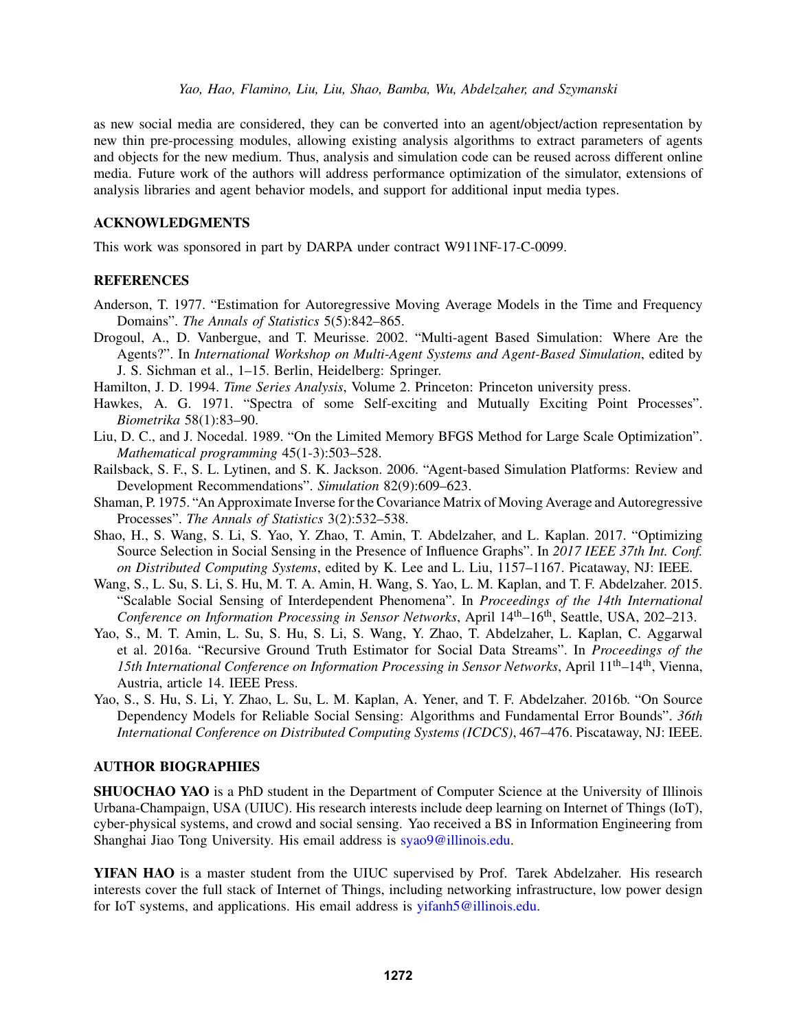*Yao, Hao, Flamino, Liu, Liu, Shao, Bamba, Wu, Abdelzaher, and Szymanski*

as new social media are considered, they can be converted into an agent/object/action representation by new thin pre-processing modules, allowing existing analysis algorithms to extract parameters of agents and objects for the new medium. Thus, analysis and simulation code can be reused across different online media. Future work of the authors will address performance optimization of the simulator, extensions of analysis libraries and agent behavior models, and support for additional input media types.

## ACKNOWLEDGMENTS

This work was sponsored in part by DARPA under contract W911NF-17-C-0099.

## **REFERENCES**

- Anderson, T. 1977. "Estimation for Autoregressive Moving Average Models in the Time and Frequency Domains". *The Annals of Statistics* 5(5):842–865.
- Drogoul, A., D. Vanbergue, and T. Meurisse. 2002. "Multi-agent Based Simulation: Where Are the Agents?". In *International Workshop on Multi-Agent Systems and Agent-Based Simulation*, edited by J. S. Sichman et al., 1–15. Berlin, Heidelberg: Springer.
- Hamilton, J. D. 1994. *Time Series Analysis*, Volume 2. Princeton: Princeton university press.
- Hawkes, A. G. 1971. "Spectra of some Self-exciting and Mutually Exciting Point Processes". *Biometrika* 58(1):83–90.
- Liu, D. C., and J. Nocedal. 1989. "On the Limited Memory BFGS Method for Large Scale Optimization". *Mathematical programming* 45(1-3):503–528.
- Railsback, S. F., S. L. Lytinen, and S. K. Jackson. 2006. "Agent-based Simulation Platforms: Review and Development Recommendations". *Simulation* 82(9):609–623.
- Shaman, P. 1975. "An Approximate Inverse for the Covariance Matrix of Moving Average and Autoregressive Processes". *The Annals of Statistics* 3(2):532–538.
- Shao, H., S. Wang, S. Li, S. Yao, Y. Zhao, T. Amin, T. Abdelzaher, and L. Kaplan. 2017. "Optimizing Source Selection in Social Sensing in the Presence of Influence Graphs". In *2017 IEEE 37th Int. Conf. on Distributed Computing Systems*, edited by K. Lee and L. Liu, 1157–1167. Picataway, NJ: IEEE.
- Wang, S., L. Su, S. Li, S. Hu, M. T. A. Amin, H. Wang, S. Yao, L. M. Kaplan, and T. F. Abdelzaher. 2015. "Scalable Social Sensing of Interdependent Phenomena". In *Proceedings of the 14th International Conference on Information Processing in Sensor Networks*, April 14th–16th, Seattle, USA, 202–213.
- Yao, S., M. T. Amin, L. Su, S. Hu, S. Li, S. Wang, Y. Zhao, T. Abdelzaher, L. Kaplan, C. Aggarwal et al. 2016a. "Recursive Ground Truth Estimator for Social Data Streams". In *Proceedings of the 15th International Conference on Information Processing in Sensor Networks*, April 11th–14th, Vienna, Austria, article 14. IEEE Press.
- Yao, S., S. Hu, S. Li, Y. Zhao, L. Su, L. M. Kaplan, A. Yener, and T. F. Abdelzaher. 2016b. "On Source Dependency Models for Reliable Social Sensing: Algorithms and Fundamental Error Bounds". *36th International Conference on Distributed Computing Systems (ICDCS)*, 467–476. Piscataway, NJ: IEEE.

## AUTHOR BIOGRAPHIES

SHUOCHAO YAO is a PhD student in the Department of Computer Science at the University of Illinois Urbana-Champaign, USA (UIUC). His research interests include deep learning on Internet of Things (IoT), cyber-physical systems, and crowd and social sensing. Yao received a BS in Information Engineering from Shanghai Jiao Tong University. His email address is syao9@illinois.edu.

YIFAN HAO is a master student from the UIUC supervised by Prof. Tarek Abdelzaher. His research interests cover the full stack of Internet of Things, including networking infrastructure, low power design for IoT systems, and applications. His email address is yifanh5@illinois.edu.